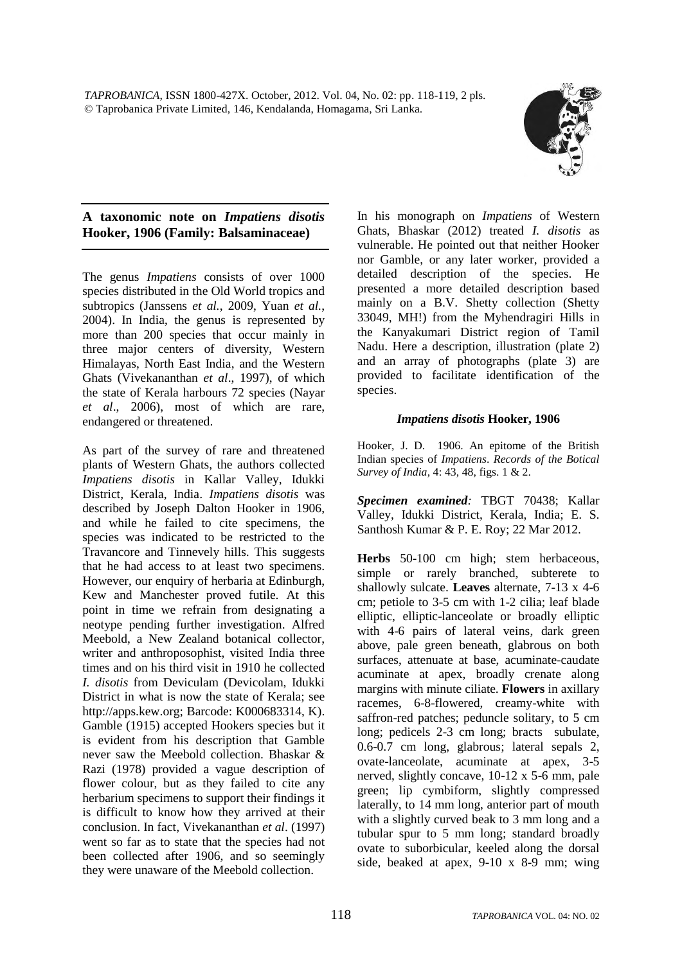

## **A taxonomic note on** *Impatiens disotis*  **Hooker, 1906 (Family: Balsaminaceae)**

The genus *Impatiens* consists of over 1000 species distributed in the Old World tropics and subtropics (Janssens *et al.*, 2009, Yuan *et al.*, 2004). In India, the genus is represented by more than 200 species that occur mainly in three major centers of diversity, Western Himalayas, North East India, and the Western Ghats (Vivekananthan *et al*., 1997), of which the state of Kerala harbours 72 species (Nayar *et al*., 2006), most of which are rare, endangered or threatened.

As part of the survey of rare and threatened plants of Western Ghats, the authors collected *Impatiens disotis* in Kallar Valley, Idukki District, Kerala, India. *Impatiens disotis* was described by Joseph Dalton Hooker in 1906, and while he failed to cite specimens, the species was indicated to be restricted to the Travancore and Tinnevely hills. This suggests that he had access to at least two specimens. However, our enquiry of herbaria at Edinburgh, Kew and Manchester proved futile. At this point in time we refrain from designating a neotype pending further investigation. Alfred Meebold, a New Zealand botanical collector, writer and anthroposophist, visited India three times and on his third visit in 1910 he collected *I. disotis* from Deviculam (Devicolam, Idukki District in what is now the state of Kerala; see http://apps.kew.org; Barcode: K000683314, K). Gamble (1915) accepted Hookers species but it is evident from his description that Gamble never saw the Meebold collection. Bhaskar & Razi (1978) provided a vague description of flower colour, but as they failed to cite any herbarium specimens to support their findings it is difficult to know how they arrived at their conclusion. In fact, Vivekananthan *et al*. (1997) went so far as to state that the species had not been collected after 1906, and so seemingly they were unaware of the Meebold collection.

In his monograph on *Impatiens* of Western Ghats, Bhaskar (2012) treated *I. disotis* as vulnerable. He pointed out that neither Hooker nor Gamble, or any later worker, provided a detailed description of the species. He presented a more detailed description based mainly on a B.V. Shetty collection (Shetty 33049, MH!) from the Myhendragiri Hills in the Kanyakumari District region of Tamil Nadu. Here a description, illustration (plate 2) and an array of photographs (plate 3) are provided to facilitate identification of the species.

## *Impatiens disotis* **Hooker, 1906**

Hooker, J. D. 1906. An epitome of the British Indian species of *Impatiens*. *Records of the Botical Survey of India*, 4: 43, 48, figs. 1 & 2.

*Specimen examined:* TBGT 70438; Kallar Valley, Idukki District, Kerala, India; E. S. Santhosh Kumar & P. E. Roy; 22 Mar 2012.

**Herbs** 50-100 cm high; stem herbaceous, simple or rarely branched, subterete to shallowly sulcate. **Leaves** alternate, 7-13 x 4-6 cm; petiole to 3-5 cm with 1-2 cilia; leaf blade elliptic, elliptic-lanceolate or broadly elliptic with 4-6 pairs of lateral veins, dark green above, pale green beneath, glabrous on both surfaces, attenuate at base, acuminate-caudate acuminate at apex, broadly crenate along margins with minute ciliate. **Flowers** in axillary racemes, 6-8-flowered, creamy-white with saffron-red patches; peduncle solitary, to 5 cm long; pedicels 2-3 cm long; bracts subulate, 0.6-0.7 cm long, glabrous; lateral sepals 2, ovate-lanceolate, acuminate at apex, 3-5 nerved, slightly concave, 10-12 x 5-6 mm, pale green; lip cymbiform, slightly compressed laterally, to 14 mm long, anterior part of mouth with a slightly curved beak to 3 mm long and a tubular spur to 5 mm long; standard broadly ovate to suborbicular, keeled along the dorsal side, beaked at apex, 9-10 x 8-9 mm; wing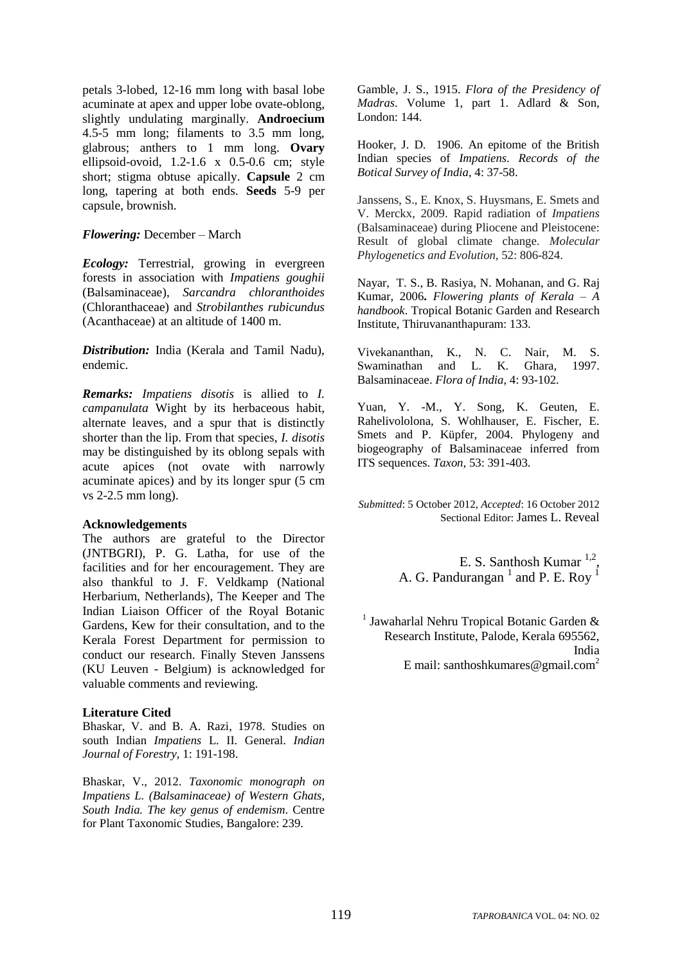petals 3-lobed, 12-16 mm long with basal lobe acuminate at apex and upper lobe ovate-oblong, slightly undulating marginally. **Androecium** 4.5-5 mm long; filaments to 3.5 mm long, glabrous; anthers to 1 mm long. **Ovary** ellipsoid-ovoid, 1.2-1.6 x 0.5-0.6 cm; style short; stigma obtuse apically. **Capsule** 2 cm long, tapering at both ends. **Seeds** 5-9 per capsule, brownish.

### *Flowering:* December – March

*Ecology:* Terrestrial, growing in evergreen forests in association with *Impatiens goughii* (Balsaminaceae), *Sarcandra chloranthoides* (Chloranthaceae) and *Strobilanthes rubicundus* (Acanthaceae) at an altitude of 1400 m.

*Distribution:* India (Kerala and Tamil Nadu), endemic.

*Remarks: Impatiens disotis* is allied to *I. campanulata* Wight by its herbaceous habit, alternate leaves, and a spur that is distinctly shorter than the lip. From that species, *I. disotis*  may be distinguished by its oblong sepals with acute apices (not ovate with narrowly acuminate apices) and by its longer spur (5 cm vs 2-2.5 mm long).

#### **Acknowledgements**

The authors are grateful to the Director (JNTBGRI), P. G. Latha, for use of the facilities and for her encouragement. They are also thankful to J. F. Veldkamp (National Herbarium, Netherlands), The Keeper and The Indian Liaison Officer of the Royal Botanic Gardens, Kew for their consultation, and to the Kerala Forest Department for permission to conduct our research. Finally Steven Janssens (KU Leuven - Belgium) is acknowledged for valuable comments and reviewing.

### **Literature Cited**

Bhaskar, V. and B. A. Razi, 1978. Studies on south Indian *Impatiens* L. II. General. *Indian Journal of Forestry*, 1: 191-198.

Bhaskar, V., 2012. *Taxonomic monograph on Impatiens L. (Balsaminaceae) of Western Ghats, South India. The key genus of endemism*. Centre for Plant Taxonomic Studies, Bangalore: 239.

Gamble, J. S., 1915. *Flora of the Presidency of Madras*. Volume 1, part 1. Adlard & Son, London: 144.

Hooker, J. D. 1906. An epitome of the British Indian species of *Impatiens*. *Records of the Botical Survey of India*, 4: 37-58.

Janssens, S., E. Knox, S. Huysmans, E. Smets and V. Merckx, 2009. Rapid radiation of *Impatiens*  (Balsaminaceae) during Pliocene and Pleistocene: Result of global climate change. *Molecular Phylogenetics and Evolution*, 52: 806-824.

Nayar, T. S., B. Rasiya, N. Mohanan, and G. Raj Kumar, 2006**.** *Flowering plants of Kerala – A handbook*. Tropical Botanic Garden and Research Institute, Thiruvananthapuram: 133.

Vivekananthan, K., N. C. Nair, M. S. Swaminathan and L. K. Ghara, 1997. Balsaminaceae. *Flora of India*, 4: 93-102.

Yuan, Y. -M., Y. Song, K. Geuten, E. Rahelivololona, S. Wohlhauser, E. Fischer, E. Smets and P. Küpfer, 2004. Phylogeny and biogeography of Balsaminaceae inferred from ITS sequences. *Taxon*, 53: 391-403.

*Submitted*: 5 October 2012, *Accepted*: 16 October 2012 Sectional Editor: James L. Reveal

> E. S. Santhosh Kumar  $1,2$ , A. G. Pandurangan  $<sup>1</sup>$  and P. E. Roy  $<sup>1</sup>$ </sup></sup>

<sup>1</sup> Jawaharlal Nehru Tropical Botanic Garden & Research Institute, Palode, Kerala 695562, India E mail: santhoshkumares@gmail.com<sup>2</sup>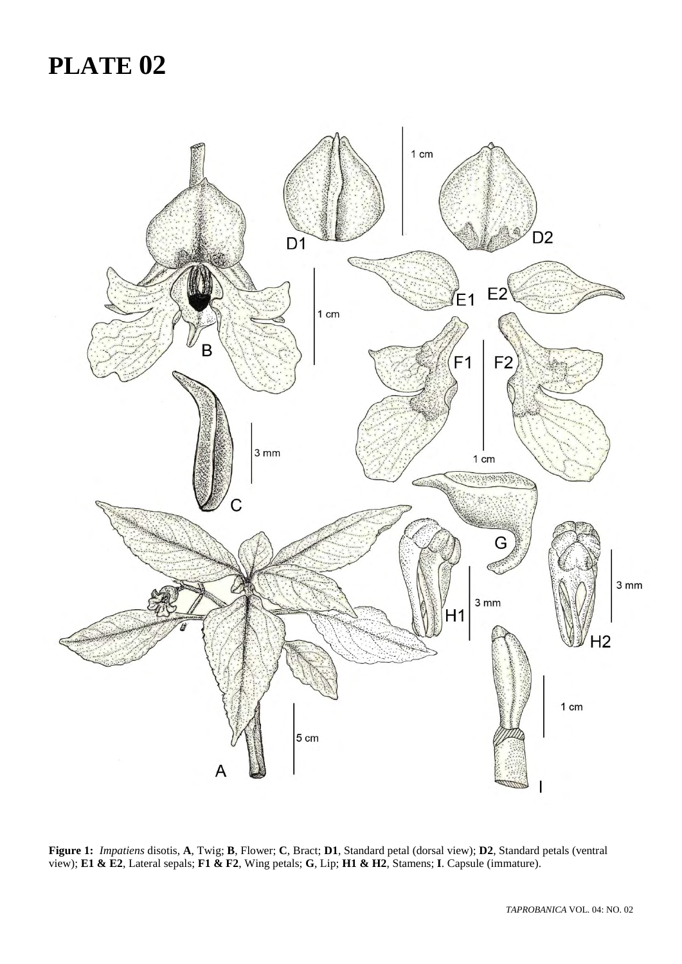# **PLATE 02**